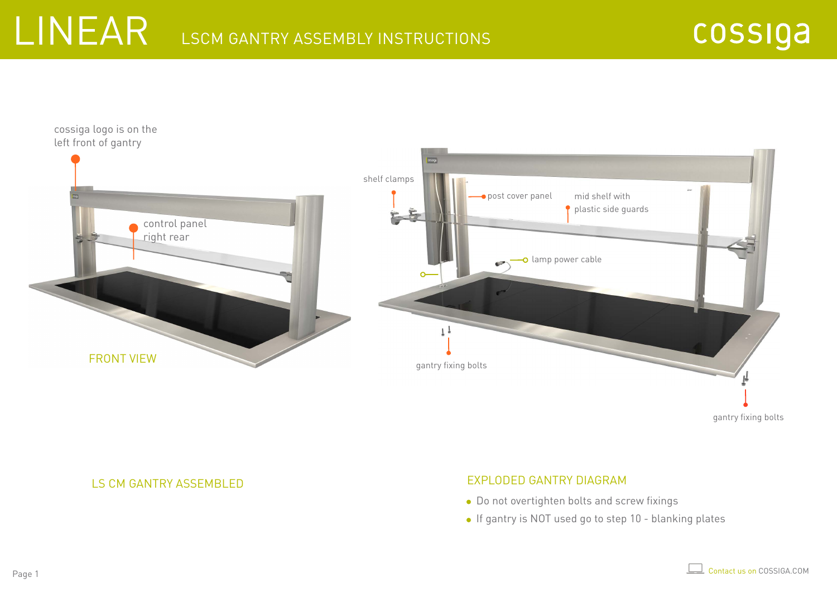



LS CM GANTRY ASSEMBLED

#### EXPLODED GANTRY DIAGRAM

- Do not overtighten bolts and screw fixings
- If gantry is NOT used go to step 10 blanking plates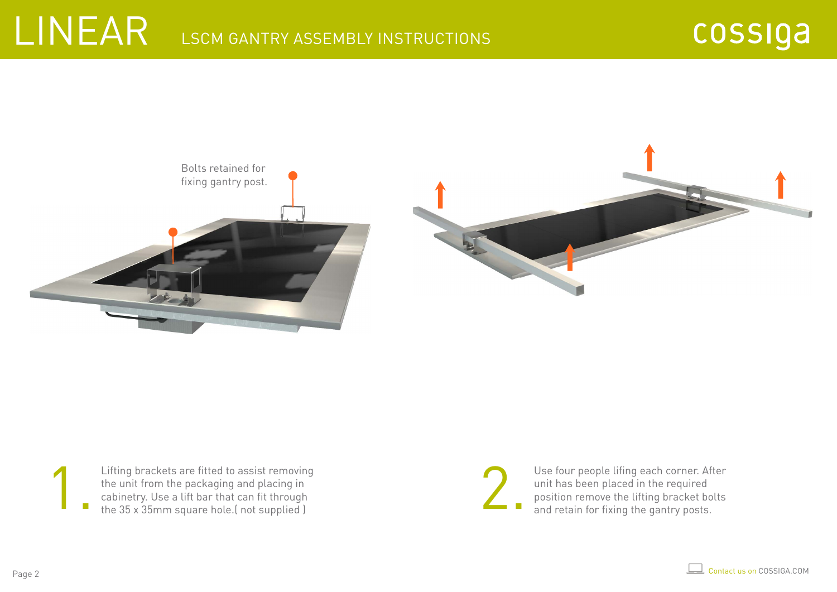



Lifting brackets are fitted to assist removing the unit from the packaging and placing in cabinetry. Use a lift bar that can fit through the 35 x 35mm square hole.( not supplied ) Lifting brackets are fitted to assist removing<br>the unit from the packaging and placing in<br>cabinetry. Use a lift bar that can fit through<br>the 35 x 35mm square hole. (not supplied )

Use four people lifing each corner. After unit has been placed in the required position remove the lifting bracket bolts and retain for fixing the gantry posts.

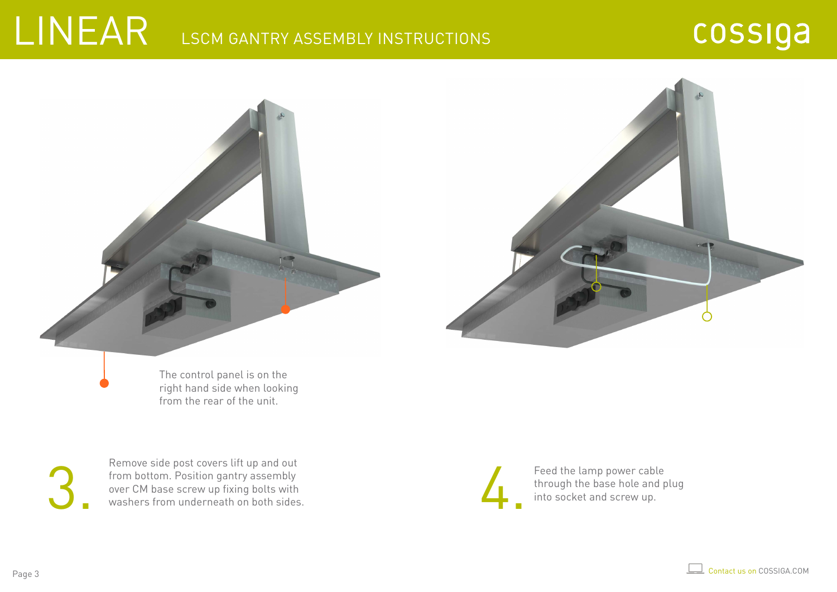#### cossiga





from the rear of the unit.

Remove side post covers lift up and out<br>from bottom. Position gantry assembly<br>over CM base screw up fixing bolts with<br>washers from underneath on both sides.<br>and screw up. Remove side post covers lift up and out from bottom. Position gantry assembly over CM base screw up fixing bolts with washers from underneath on both sides.

Feed the lamp power cable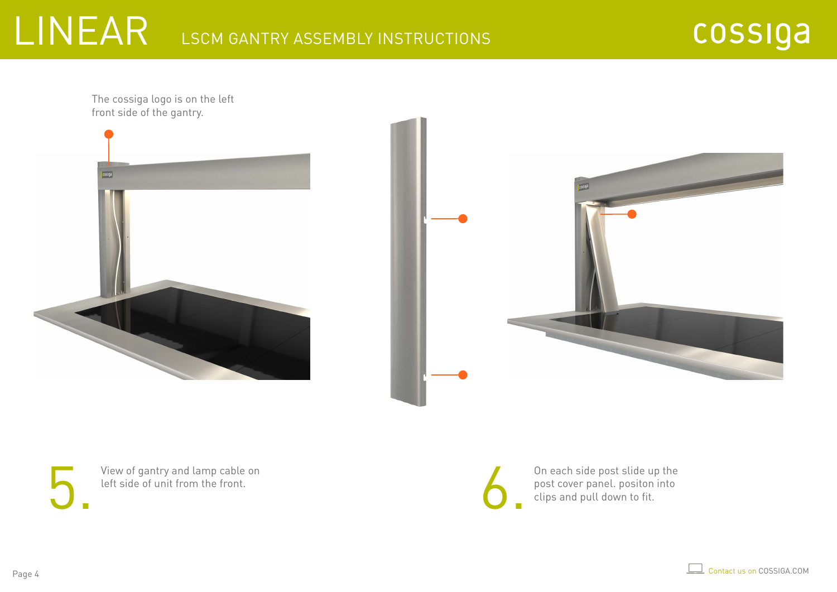cossiga

The cossiga logo is on the left front side of the gantry.





View of gantry and lamp cable on left side of unit from the front.

On each side post slide up the View of gantry and lamp cable on<br>left side of unit from the front.<br>the fit side of unit from the front.<br>the fit side of unit from the front.<br>the set over panel. positon into  $\frac{1}{2}$  clips and pull down to fit.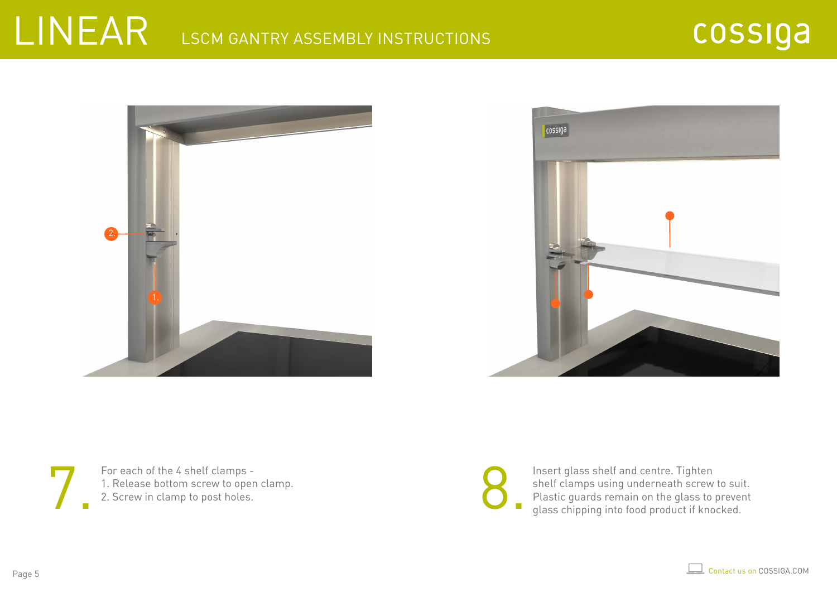





For each of the 4 shelf clamps -

For each of the 4 shelf clamps -<br>1. Release bottom screw to open clamp.<br>2. Screw in clamp to post holes.<br>2. Screw in clamp to post holes.<br>1. Insert glass shelf and centre. Tighten<br>9. Insert glass shelf and centre. Tighten<br> shelf clamps using underneath screw to suit. Plastic guards remain on the glass to prevent glass chipping into food product if knocked.